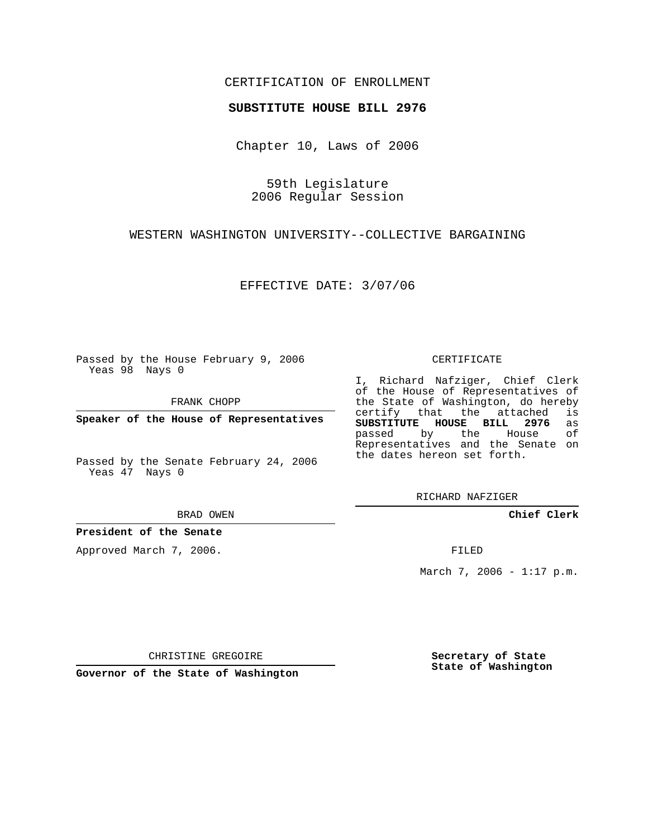## CERTIFICATION OF ENROLLMENT

### **SUBSTITUTE HOUSE BILL 2976**

Chapter 10, Laws of 2006

59th Legislature 2006 Regular Session

WESTERN WASHINGTON UNIVERSITY--COLLECTIVE BARGAINING

EFFECTIVE DATE: 3/07/06

Passed by the House February 9, 2006 Yeas 98 Nays 0

FRANK CHOPP

**Speaker of the House of Representatives**

Passed by the Senate February 24, 2006 Yeas 47 Nays 0

BRAD OWEN

**President of the Senate**

Approved March 7, 2006.

#### CERTIFICATE

I, Richard Nafziger, Chief Clerk of the House of Representatives of the State of Washington, do hereby<br>certify that the attached is certify that the attached **SUBSTITUTE HOUSE BILL 2976** as passed by the House Representatives and the Senate on the dates hereon set forth.

RICHARD NAFZIGER

**Chief Clerk**

FILED

March 7, 2006 - 1:17 p.m.

CHRISTINE GREGOIRE

**Governor of the State of Washington**

**Secretary of State State of Washington**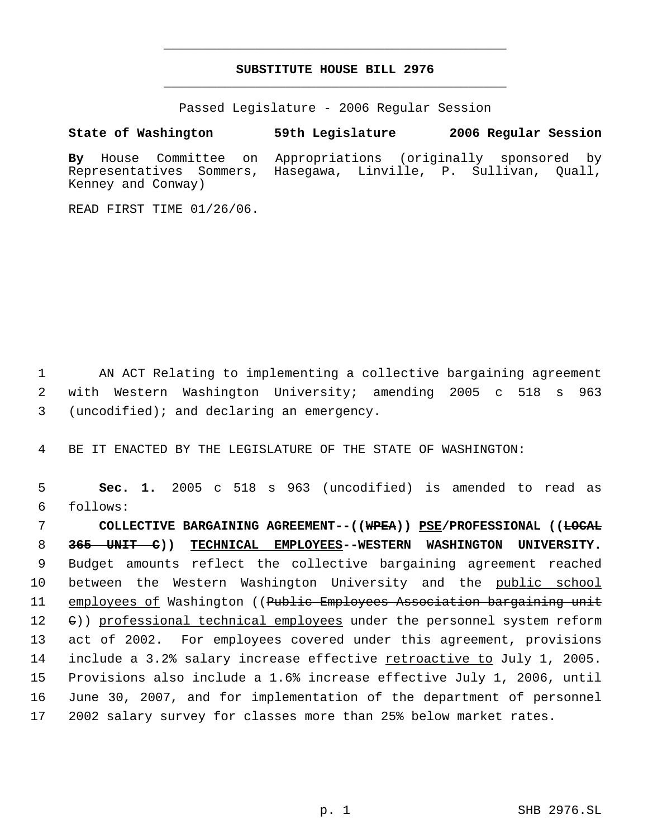# **SUBSTITUTE HOUSE BILL 2976** \_\_\_\_\_\_\_\_\_\_\_\_\_\_\_\_\_\_\_\_\_\_\_\_\_\_\_\_\_\_\_\_\_\_\_\_\_\_\_\_\_\_\_\_\_

\_\_\_\_\_\_\_\_\_\_\_\_\_\_\_\_\_\_\_\_\_\_\_\_\_\_\_\_\_\_\_\_\_\_\_\_\_\_\_\_\_\_\_\_\_

Passed Legislature - 2006 Regular Session

### **State of Washington 59th Legislature 2006 Regular Session**

**By** House Committee on Appropriations (originally sponsored by Representatives Sommers, Hasegawa, Linville, P. Sullivan, Quall, Kenney and Conway)

READ FIRST TIME 01/26/06.

 1 AN ACT Relating to implementing a collective bargaining agreement 2 with Western Washington University; amending 2005 c 518 s 963 3 (uncodified); and declaring an emergency.

4 BE IT ENACTED BY THE LEGISLATURE OF THE STATE OF WASHINGTON:

 5 **Sec. 1.** 2005 c 518 s 963 (uncodified) is amended to read as 6 follows:

 **COLLECTIVE BARGAINING AGREEMENT--((WPEA)) PSE/PROFESSIONAL ((LOCAL 365 UNIT C)) TECHNICAL EMPLOYEES--WESTERN WASHINGTON UNIVERSITY.** Budget amounts reflect the collective bargaining agreement reached 10 between the Western Washington University and the public school 11 employees of Washington ((Public Employees Association bargaining unit 12 (e)) professional technical employees under the personnel system reform act of 2002. For employees covered under this agreement, provisions 14 include a 3.2% salary increase effective retroactive to July 1, 2005. Provisions also include a 1.6% increase effective July 1, 2006, until June 30, 2007, and for implementation of the department of personnel 2002 salary survey for classes more than 25% below market rates.